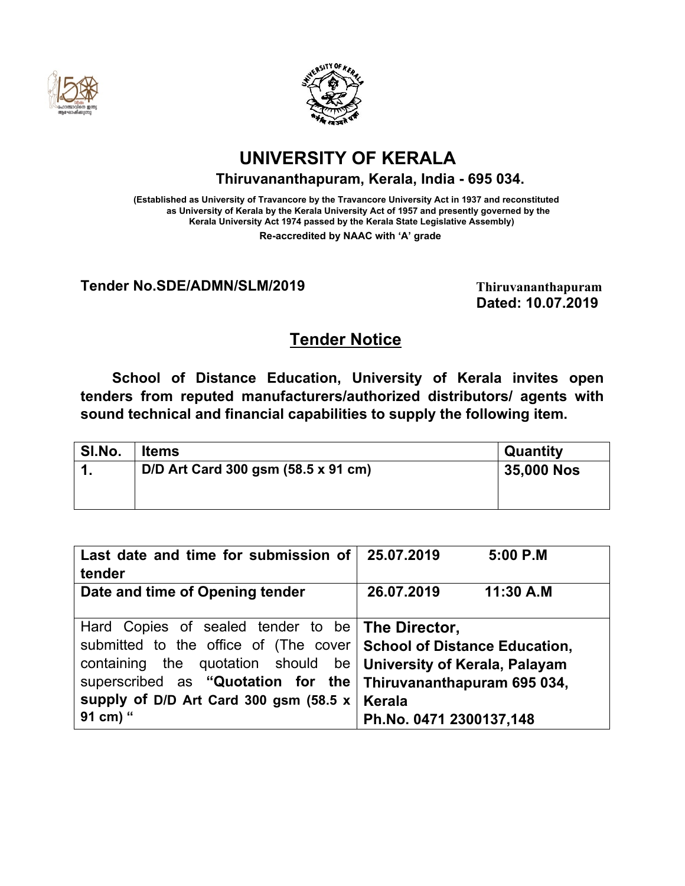



# **UNIVERSITY OF KERALA**

**Thiruvananthapuram, Kerala, India - 695 034.**

**(Established as University of Travancore by the Travancore University Act in 1937 and reconstituted as University of Kerala by the Kerala University Act of 1957 and presently governed by the Kerala University Act 1974 passed by the Kerala State Legislative Assembly) Re-accredited by NAAC with 'A' grade**

**Tender No.SDE/ADMN/SLM/2019 Thiruvananthapuram** 

 **Dated: 10.07.2019**

## **Tender Notice**

**School of Distance Education, University of Kerala invites open tenders from reputed manufacturers/authorized distributors/ agents with sound technical and financial capabilities to supply the following item.**

| SI.No. | <b>Items</b>                        | <b>Quantity</b>   |
|--------|-------------------------------------|-------------------|
| 1      | D/D Art Card 300 gsm (58.5 x 91 cm) | <b>35,000 Nos</b> |
|        |                                     |                   |

| Last date and time for submission of                                  | 25.07.2019              | $5:00$ P.M |
|-----------------------------------------------------------------------|-------------------------|------------|
| tender                                                                |                         |            |
| Date and time of Opening tender                                       | 26.07.2019              | 11:30 A.M  |
|                                                                       |                         |            |
| Hard Copies of sealed tender to be <b>The Director</b> ,              |                         |            |
| submitted to the office of (The cover   School of Distance Education, |                         |            |
| containing the quotation should be   University of Kerala, Palayam    |                         |            |
| superscribed as "Quotation for the Thiruvananthapuram 695 034,        |                         |            |
| supply of D/D Art Card 300 gsm (58.5 $x$   Kerala                     |                         |            |
|                                                                       |                         |            |
| 91 cm) "                                                              | Ph.No. 0471 2300137.148 |            |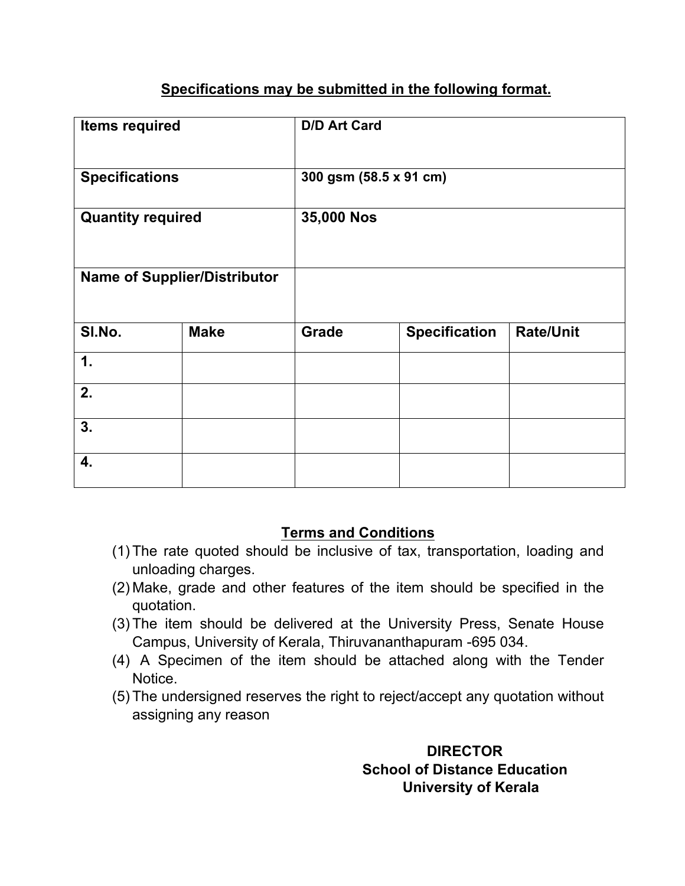### **Specifications may be submitted in the following format.**

| <b>Items required</b>    |                                     | <b>D/D Art Card</b>    |                      |                  |
|--------------------------|-------------------------------------|------------------------|----------------------|------------------|
| <b>Specifications</b>    |                                     | 300 gsm (58.5 x 91 cm) |                      |                  |
| <b>Quantity required</b> |                                     | 35,000 Nos             |                      |                  |
|                          | <b>Name of Supplier/Distributor</b> |                        |                      |                  |
| SI.No.                   | <b>Make</b>                         | <b>Grade</b>           | <b>Specification</b> | <b>Rate/Unit</b> |
| 1.                       |                                     |                        |                      |                  |
| 2.                       |                                     |                        |                      |                  |
| 3.                       |                                     |                        |                      |                  |
| 4.                       |                                     |                        |                      |                  |

#### **Terms and Conditions**

- (1) The rate quoted should be inclusive of tax, transportation, loading and unloading charges.
- (2) Make, grade and other features of the item should be specified in the quotation.
- (3) The item should be delivered at the University Press, Senate House Campus, University of Kerala, Thiruvananthapuram -695 034.
- (4) A Specimen of the item should be attached along with the Tender Notice.
- (5) The undersigned reserves the right to reject/accept any quotation without assigning any reason

### **DIRECTOR School of Distance Education University of Kerala**